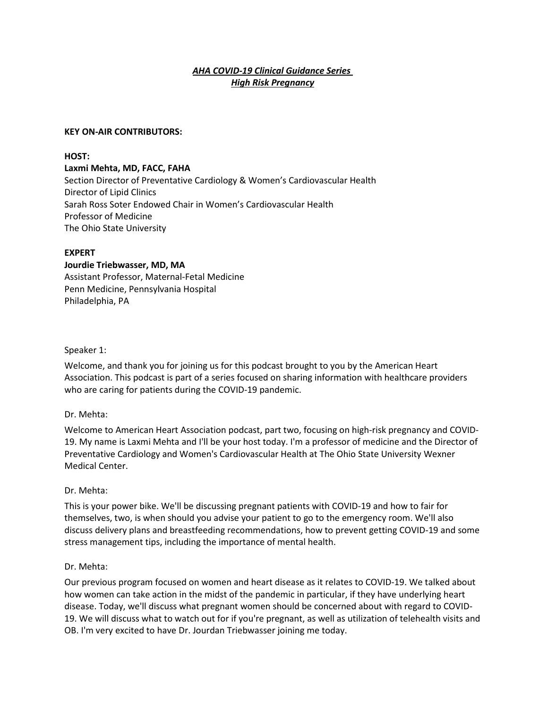### *AHA COVID-19 Clinical Guidance Series High Risk Pregnancy*

#### **KEY ON-AIR CONTRIBUTORS:**

#### **HOST:**

**Laxmi Mehta, MD, FACC, FAHA**

Section Director of Preventative Cardiology & Women's Cardiovascular Health Director of Lipid Clinics Sarah Ross Soter Endowed Chair in Women's Cardiovascular Health Professor of Medicine The Ohio State University

#### **EXPERT**

**Jourdie Triebwasser, MD, MA** Assistant Professor, Maternal-Fetal Medicine Penn Medicine, Pennsylvania Hospital Philadelphia, PA

#### Speaker 1:

Welcome, and thank you for joining us for this podcast brought to you by the American Heart Association. This podcast is part of a series focused on sharing information with healthcare providers who are caring for patients during the COVID-19 pandemic.

#### Dr. Mehta:

Welcome to American Heart Association podcast, part two, focusing on high-risk pregnancy and COVID-19. My name is Laxmi Mehta and I'll be your host today. I'm a professor of medicine and the Director of Preventative Cardiology and Women's Cardiovascular Health at The Ohio State University Wexner Medical Center.

#### Dr. Mehta:

This is your power bike. We'll be discussing pregnant patients with COVID-19 and how to fair for themselves, two, is when should you advise your patient to go to the emergency room. We'll also discuss delivery plans and breastfeeding recommendations, how to prevent getting COVID-19 and some stress management tips, including the importance of mental health.

#### Dr. Mehta:

Our previous program focused on women and heart disease as it relates to COVID-19. We talked about how women can take action in the midst of the pandemic in particular, if they have underlying heart disease. Today, we'll discuss what pregnant women should be concerned about with regard to COVID-19. We will discuss what to watch out for if you're pregnant, as well as utilization of telehealth visits and OB. I'm very excited to have Dr. Jourdan Triebwasser joining me today.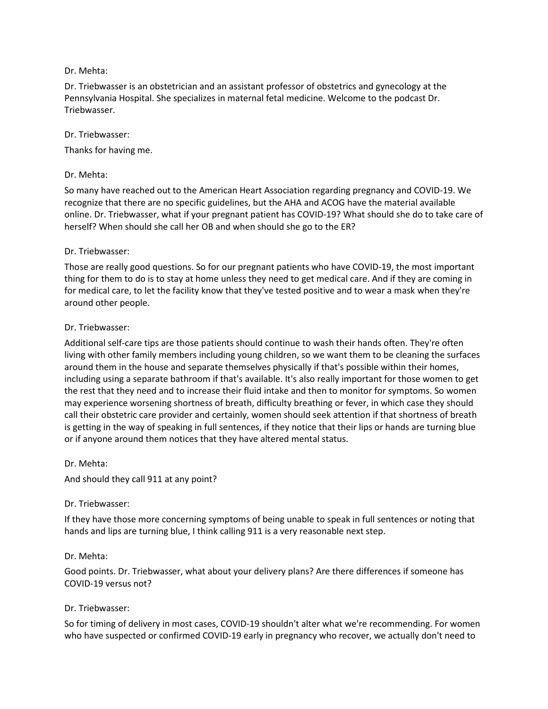### Dr. Mehta:

Dr. Triebwasser is an obstetrician and an assistant professor of obstetrics and gynecology at the Pennsylvania Hospital. She specializes in maternal fetal medicine. Welcome to the podcast Dr. Triebwasser.

### Dr. Triebwasser:

Thanks for having me.

## Dr. Mehta:

So many have reached out to the American Heart Association regarding pregnancy and COVID-19. We recognize that there are no specific guidelines, but the AHA and ACOG have the material available online. Dr. Triebwasser, what if your pregnant patient has COVID-19? What should she do to take care of herself? When should she call her OB and when should she go to the ER?

## Dr. Triebwasser:

Those are really good questions. So for our pregnant patients who have COVID-19, the most important thing for them to do is to stay at home unless they need to get medical care. And if they are coming in for medical care, to let the facility know that they've tested positive and to wear a mask when they're around other people.

## Dr. Triebwasser:

Additional self-care tips are those patients should continue to wash their hands often. They're often living with other family members including young children, so we want them to be cleaning the surfaces around them in the house and separate themselves physically if that's possible within their homes, including using a separate bathroom if that's available. It's also really important for those women to get the rest that they need and to increase their fluid intake and then to monitor for symptoms. So women may experience worsening shortness of breath, difficulty breathing or fever, in which case they should call their obstetric care provider and certainly, women should seek attention if that shortness of breath is getting in the way of speaking in full sentences, if they notice that their lips or hands are turning blue or if anyone around them notices that they have altered mental status.

#### Dr. Mehta:

And should they call 911 at any point?

#### Dr. Triebwasser:

If they have those more concerning symptoms of being unable to speak in full sentences or noting that hands and lips are turning blue, I think calling 911 is a very reasonable next step.

#### Dr. Mehta:

Good points. Dr. Triebwasser, what about your delivery plans? Are there differences if someone has COVID-19 versus not?

#### Dr. Triebwasser:

So for timing of delivery in most cases, COVID-19 shouldn't alter what we're recommending. For women who have suspected or confirmed COVID-19 early in pregnancy who recover, we actually don't need to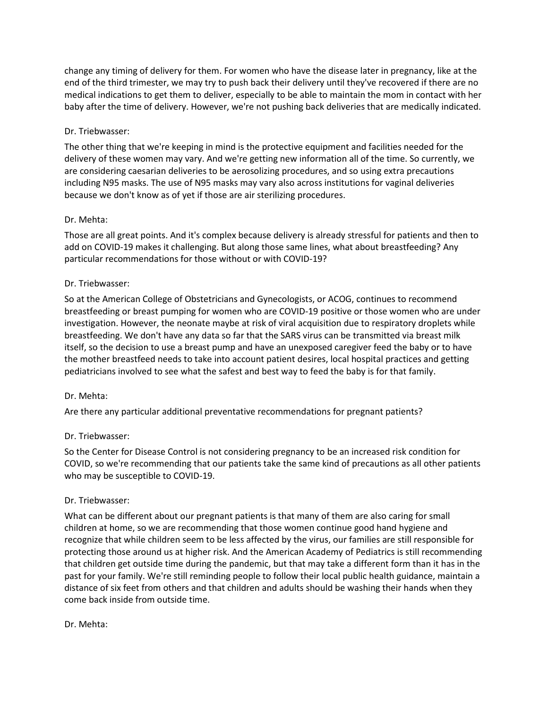change any timing of delivery for them. For women who have the disease later in pregnancy, like at the end of the third trimester, we may try to push back their delivery until they've recovered if there are no medical indications to get them to deliver, especially to be able to maintain the mom in contact with her baby after the time of delivery. However, we're not pushing back deliveries that are medically indicated.

## Dr. Triebwasser:

The other thing that we're keeping in mind is the protective equipment and facilities needed for the delivery of these women may vary. And we're getting new information all of the time. So currently, we are considering caesarian deliveries to be aerosolizing procedures, and so using extra precautions including N95 masks. The use of N95 masks may vary also across institutions for vaginal deliveries because we don't know as of yet if those are air sterilizing procedures.

## Dr. Mehta:

Those are all great points. And it's complex because delivery is already stressful for patients and then to add on COVID-19 makes it challenging. But along those same lines, what about breastfeeding? Any particular recommendations for those without or with COVID-19?

## Dr. Triebwasser:

So at the American College of Obstetricians and Gynecologists, or ACOG, continues to recommend breastfeeding or breast pumping for women who are COVID-19 positive or those women who are under investigation. However, the neonate maybe at risk of viral acquisition due to respiratory droplets while breastfeeding. We don't have any data so far that the SARS virus can be transmitted via breast milk itself, so the decision to use a breast pump and have an unexposed caregiver feed the baby or to have the mother breastfeed needs to take into account patient desires, local hospital practices and getting pediatricians involved to see what the safest and best way to feed the baby is for that family.

#### Dr. Mehta:

Are there any particular additional preventative recommendations for pregnant patients?

#### Dr. Triebwasser:

So the Center for Disease Control is not considering pregnancy to be an increased risk condition for COVID, so we're recommending that our patients take the same kind of precautions as all other patients who may be susceptible to COVID-19.

#### Dr. Triebwasser:

What can be different about our pregnant patients is that many of them are also caring for small children at home, so we are recommending that those women continue good hand hygiene and recognize that while children seem to be less affected by the virus, our families are still responsible for protecting those around us at higher risk. And the American Academy of Pediatrics is still recommending that children get outside time during the pandemic, but that may take a different form than it has in the past for your family. We're still reminding people to follow their local public health guidance, maintain a distance of six feet from others and that children and adults should be washing their hands when they come back inside from outside time.

Dr. Mehta: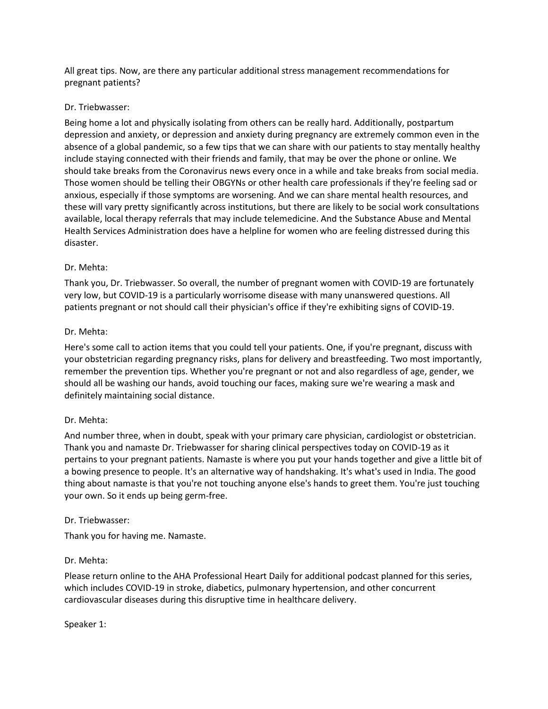All great tips. Now, are there any particular additional stress management recommendations for pregnant patients?

### Dr. Triebwasser:

Being home a lot and physically isolating from others can be really hard. Additionally, postpartum depression and anxiety, or depression and anxiety during pregnancy are extremely common even in the absence of a global pandemic, so a few tips that we can share with our patients to stay mentally healthy include staying connected with their friends and family, that may be over the phone or online. We should take breaks from the Coronavirus news every once in a while and take breaks from social media. Those women should be telling their OBGYNs or other health care professionals if they're feeling sad or anxious, especially if those symptoms are worsening. And we can share mental health resources, and these will vary pretty significantly across institutions, but there are likely to be social work consultations available, local therapy referrals that may include telemedicine. And the Substance Abuse and Mental Health Services Administration does have a helpline for women who are feeling distressed during this disaster.

## Dr. Mehta:

Thank you, Dr. Triebwasser. So overall, the number of pregnant women with COVID-19 are fortunately very low, but COVID-19 is a particularly worrisome disease with many unanswered questions. All patients pregnant or not should call their physician's office if they're exhibiting signs of COVID-19.

## Dr. Mehta:

Here's some call to action items that you could tell your patients. One, if you're pregnant, discuss with your obstetrician regarding pregnancy risks, plans for delivery and breastfeeding. Two most importantly, remember the prevention tips. Whether you're pregnant or not and also regardless of age, gender, we should all be washing our hands, avoid touching our faces, making sure we're wearing a mask and definitely maintaining social distance.

# Dr. Mehta:

And number three, when in doubt, speak with your primary care physician, cardiologist or obstetrician. Thank you and namaste Dr. Triebwasser for sharing clinical perspectives today on COVID-19 as it pertains to your pregnant patients. Namaste is where you put your hands together and give a little bit of a bowing presence to people. It's an alternative way of handshaking. It's what's used in India. The good thing about namaste is that you're not touching anyone else's hands to greet them. You're just touching your own. So it ends up being germ-free.

#### Dr. Triebwasser:

Thank you for having me. Namaste.

#### Dr. Mehta:

Please return online to the AHA Professional Heart Daily for additional podcast planned for this series, which includes COVID-19 in stroke, diabetics, pulmonary hypertension, and other concurrent cardiovascular diseases during this disruptive time in healthcare delivery.

Speaker 1: